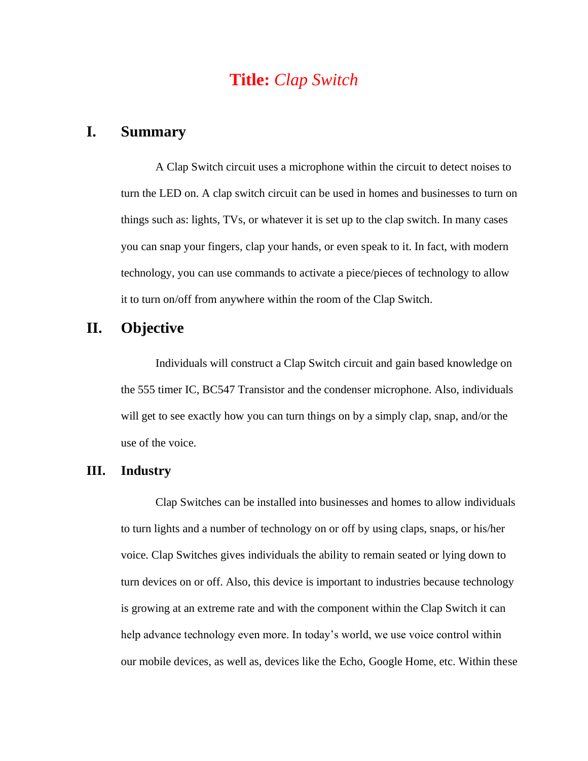# **Title:** *Clap Switch*

## **I. Summary**

A Clap Switch circuit uses a microphone within the circuit to detect noises to turn the LED on. A clap switch circuit can be used in homes and businesses to turn on things such as: lights, TVs, or whatever it is set up to the clap switch. In many cases you can snap your fingers, clap your hands, or even speak to it. In fact, with modern technology, you can use commands to activate a piece/pieces of technology to allow it to turn on/off from anywhere within the room of the Clap Switch.

### **II. Objective**

Individuals will construct a Clap Switch circuit and gain based knowledge on the 555 timer IC, BC547 Transistor and the condenser microphone. Also, individuals will get to see exactly how you can turn things on by a simply clap, snap, and/or the use of the voice.

### **III. Industry**

Clap Switches can be installed into businesses and homes to allow individuals to turn lights and a number of technology on or off by using claps, snaps, or his/her voice. Clap Switches gives individuals the ability to remain seated or lying down to turn devices on or off. Also, this device is important to industries because technology is growing at an extreme rate and with the component within the Clap Switch it can help advance technology even more. In today's world, we use voice control within our mobile devices, as well as, devices like the Echo, Google Home, etc. Within these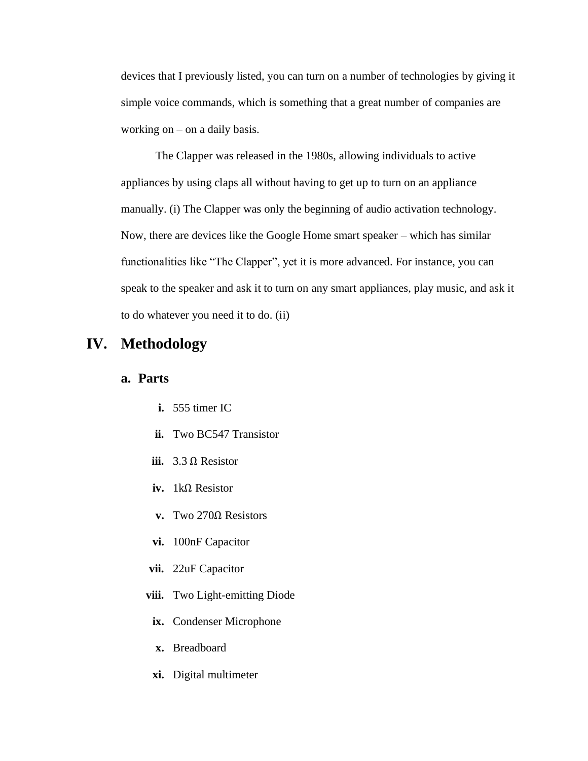devices that I previously listed, you can turn on a number of technologies by giving it simple voice commands, which is something that a great number of companies are working on – on a daily basis.

The Clapper was released in the 1980s, allowing individuals to active appliances by using claps all without having to get up to turn on an appliance manually. (i) The Clapper was only the beginning of audio activation technology. Now, there are devices like the Google Home smart speaker – which has similar functionalities like "The Clapper", yet it is more advanced. For instance, you can speak to the speaker and ask it to turn on any smart appliances, play music, and ask it to do whatever you need it to do. (ii)

### **IV. Methodology**

### **a. Parts**

- **i.** 555 timer IC
- **ii.** Two BC547 Transistor
- **iii.** 3.3 Ω Resistor
- **iv.** 1kΩ Resistor
- **v.** Two 270Ω Resistors
- **vi.** 100nF Capacitor
- **vii.** 22uF Capacitor
- **viii.** Two Light-emitting Diode
- **ix.** Condenser Microphone
- **x.** Breadboard
- **xi.** Digital multimeter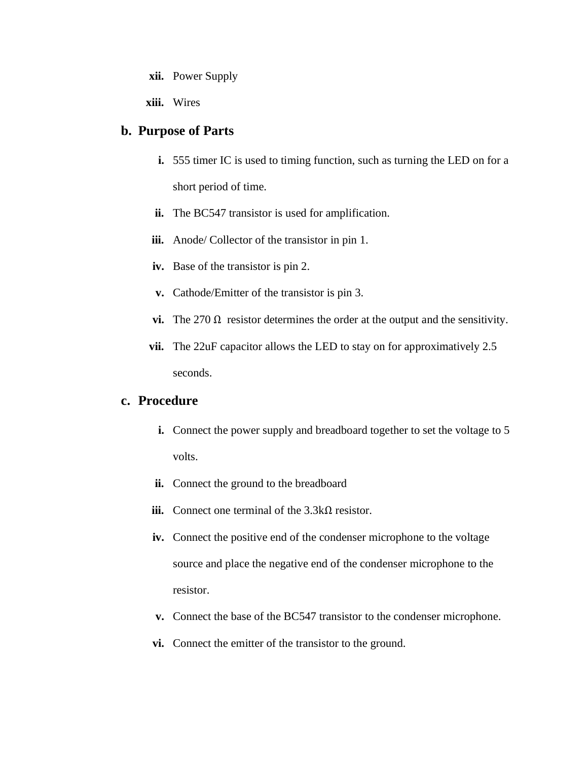**xii.** Power Supply

**xiii.** Wires

#### **b. Purpose of Parts**

- **i.** 555 timer IC is used to timing function, such as turning the LED on for a short period of time.
- **ii.** The BC547 transistor is used for amplification.
- **iii.** Anode/ Collector of the transistor in pin 1.
- **iv.** Base of the transistor is pin 2.
- **v.** Cathode/Emitter of the transistor is pin 3.
- **vi.** The 270  $\Omega$  resistor determines the order at the output and the sensitivity.
- **vii.** The 22uF capacitor allows the LED to stay on for approximatively 2.5 seconds.

### **c. Procedure**

- **i.** Connect the power supply and breadboard together to set the voltage to 5 volts.
- **ii.** Connect the ground to the breadboard
- **iii.** Connect one terminal of the 3.3kΩ resistor.
- **iv.** Connect the positive end of the condenser microphone to the voltage source and place the negative end of the condenser microphone to the resistor.
- **v.** Connect the base of the BC547 transistor to the condenser microphone.
- **vi.** Connect the emitter of the transistor to the ground.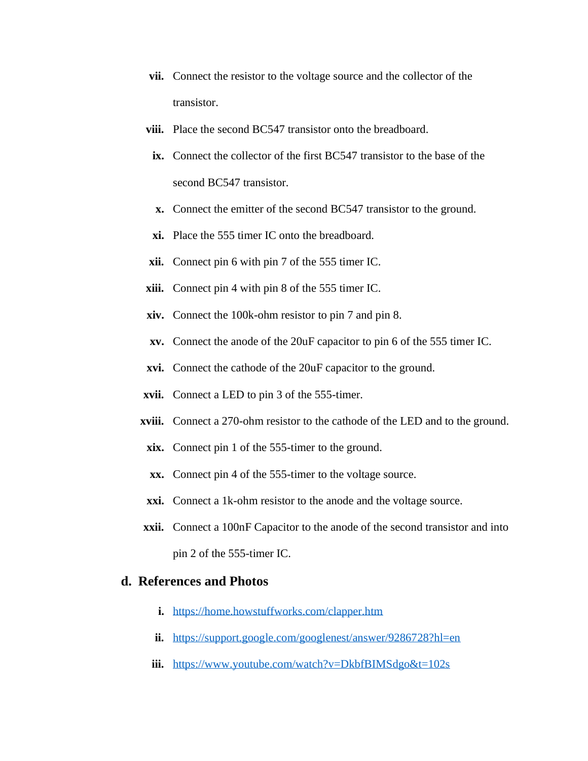- **vii.** Connect the resistor to the voltage source and the collector of the transistor.
- **viii.** Place the second BC547 transistor onto the breadboard.
	- **ix.** Connect the collector of the first BC547 transistor to the base of the second BC547 transistor.
	- **x.** Connect the emitter of the second BC547 transistor to the ground.
- **xi.** Place the 555 timer IC onto the breadboard.
- **xii.** Connect pin 6 with pin 7 of the 555 timer IC.
- **xiii.** Connect pin 4 with pin 8 of the 555 timer IC.
- **xiv.** Connect the 100k-ohm resistor to pin 7 and pin 8.
- **xv.** Connect the anode of the 20uF capacitor to pin 6 of the 555 timer IC.
- **xvi.** Connect the cathode of the 20uF capacitor to the ground.
- **xvii.** Connect a LED to pin 3 of the 555-timer.
- **xviii.** Connect a 270-ohm resistor to the cathode of the LED and to the ground.
	- **xix.** Connect pin 1 of the 555-timer to the ground.
	- **xx.** Connect pin 4 of the 555-timer to the voltage source.
	- **xxi.** Connect a 1k-ohm resistor to the anode and the voltage source.
- **xxii.** Connect a 100nF Capacitor to the anode of the second transistor and into pin 2 of the 555-timer IC.

### **d. References and Photos**

- **i.** <https://home.howstuffworks.com/clapper.htm>
- **ii.** <https://support.google.com/googlenest/answer/9286728?hl=en>
- iii. <https://www.youtube.com/watch?v=DkbfBIMSdgo&t=102s>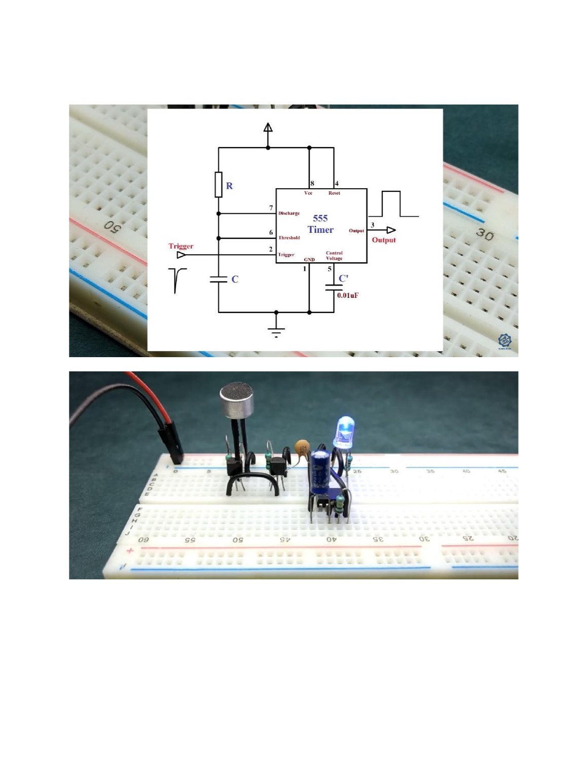